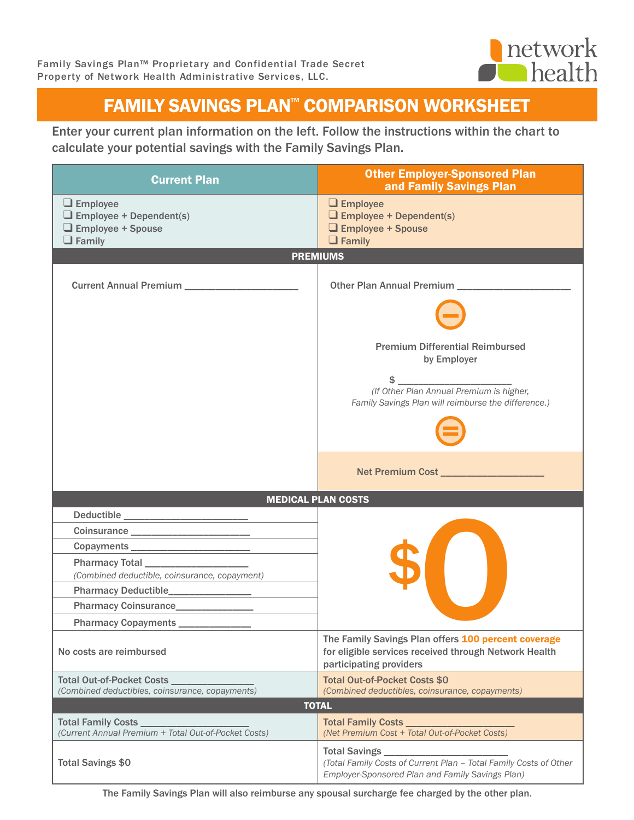

## FAMILY SAVINGS PLAN™ COMPARISON WORKSHEET

Enter your current plan information on the left. Follow the instructions within the chart to calculate your potential savings with the Family Savings Plan.

| <b>Current Plan</b>                                                                                                 | <b>Other Employer-Sponsored Plan</b><br>and Family Savings Plan                                                                                                                       |  |
|---------------------------------------------------------------------------------------------------------------------|---------------------------------------------------------------------------------------------------------------------------------------------------------------------------------------|--|
| $\Box$ Employee<br>$\Box$ Employee + Dependent(s)<br>$\Box$ Employee + Spouse<br>$\Box$ Family                      | $\Box$ Employee<br>$\Box$ Employee + Dependent(s)<br>$\Box$ Employee + Spouse<br>$\Box$ Family                                                                                        |  |
| <b>PREMIUMS</b>                                                                                                     |                                                                                                                                                                                       |  |
| Current Annual Premium _______________________                                                                      | Other Plan Annual Premium<br><b>Premium Differential Reimbursed</b><br>by Employer<br>(If Other Plan Annual Premium is higher,<br>Family Savings Plan will reimburse the difference.) |  |
|                                                                                                                     | Net Premium Cost ____________________                                                                                                                                                 |  |
| <b>MEDICAL PLAN COSTS</b><br><u> Tanzania y Espainia (m. 1988).</u>                                                 |                                                                                                                                                                                       |  |
|                                                                                                                     |                                                                                                                                                                                       |  |
|                                                                                                                     |                                                                                                                                                                                       |  |
| (Combined deductible, coinsurance, copayment)<br>Pharmacy Coinsurance________________<br><b>Pharmacy Copayments</b> |                                                                                                                                                                                       |  |
| No costs are reimbursed                                                                                             | The Family Savings Plan offers 100 percent coverage<br>for eligible services received through Network Health<br>participating providers                                               |  |
| Total Out-of-Pocket Costs _<br>(Combined deductibles, coinsurance, copayments)                                      | <b>Total Out-of-Pocket Costs \$0</b><br>(Combined deductibles, coinsurance, copayments)                                                                                               |  |
| <b>TOTAL</b>                                                                                                        |                                                                                                                                                                                       |  |
| Total Family Costs _<br>(Current Annual Premium + Total Out-of-Pocket Costs)                                        | <b>Total Family Costs</b><br>(Net Premium Cost + Total Out-of-Pocket Costs)                                                                                                           |  |
| <b>Total Savings \$0</b>                                                                                            | (Total Family Costs of Current Plan - Total Family Costs of Other<br>Employer-Sponsored Plan and Family Savings Plan)                                                                 |  |

The Family Savings Plan will also reimburse any spousal surcharge fee charged by the other plan.